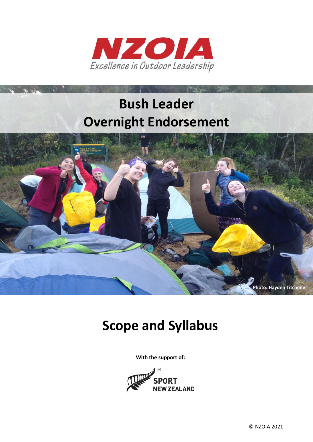

# **Bush Leader Overnight Endorsement**



## **Scope and Syllabus**

**With the support of:**

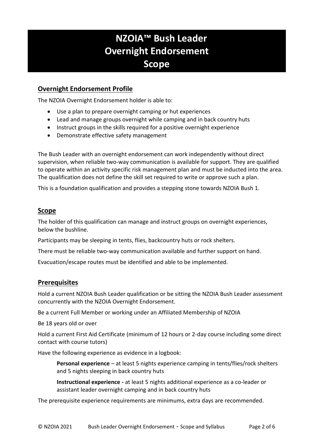## **IANZOIA™ Bush Leader Overnight Endorsement Scope**

#### **Overnight Endorsement Profile**

The NZOIA Overnight Endorsement holder is able to:

- Use a plan to prepare overnight camping or hut experiences
- Lead and manage groups overnight while camping and in back country huts
- Instruct groups in the skills required for a positive overnight experience
- Demonstrate effective safety management

The Bush Leader with an overnight endorsement can work independently without direct supervision, when reliable two-way communication is available for support. They are qualified to operate within an activity specific risk management plan and must be inducted into the area. The qualification does not define the skill set required to write or approve such a plan.

This is a foundation qualification and provides a stepping stone towards NZOIA Bush 1.

#### **Scope**

The holder of this qualification can manage and instruct groups on overnight experiences, below the bushline.

Participants may be sleeping in tents, flies, backcountry huts or rock shelters.

There must be reliable two-way communication available and further support on hand.

Evacuation/escape routes must be identified and able to be implemented.

#### **Prerequisites**

Hold a current NZOIA Bush Leader qualification or be sitting the NZOIA Bush Leader assessment concurrently with the NZOIA Overnight Endorsement.

Be a current Full Member or working under an Affiliated Membership of NZOIA

Be 18 years old or over

Hold a current First Aid Certificate (minimum of 12 hours or 2-day course including some direct contact with course tutors)

Have the following experience as evidence in a logbook:

**Personal experience** – at least 5 nights experience camping in tents/flies/rock shelters and 5 nights sleeping in back country huts

**Instructional experience -** at least 5 nights additional experience as a co-leader or assistant leader overnight camping and in back country huts

The prerequisite experience requirements are minimums, extra days are recommended.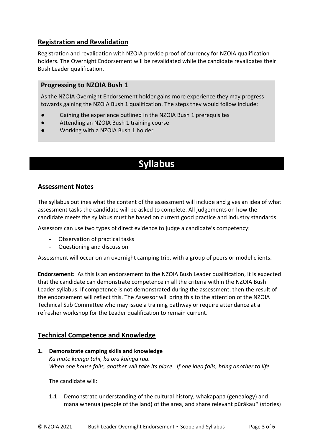#### **Registration and Revalidation**

Registration and revalidation with NZOIA provide proof of currency for NZOIA qualification holders. The Overnight Endorsement will be revalidated while the candidate revalidates their Bush Leader qualification.

#### **Progressing to NZOIA Bush 1**

As the NZOIA Overnight Endorsement holder gains more experience they may progress towards gaining the NZOIA Bush 1 qualification. The steps they would follow include:

- Gaining the experience outlined in the NZOIA Bush 1 prerequisites
- Attending an NZOIA Bush 1 training course
- Working with a NZOIA Bush 1 holder

### **Syllabus**

#### **Assessment Notes**

The syllabus outlines what the content of the assessment will include and gives an idea of what assessment tasks the candidate will be asked to complete. All judgements on how the candidate meets the syllabus must be based on current good practice and industry standards.

Assessors can use two types of direct evidence to judge a candidate's competency:

- Observation of practical tasks
- Questioning and discussion

Assessment will occur on an overnight camping trip, with a group of peers or model clients.

**Endorsement:** As this is an endorsement to the NZOIA Bush Leader qualification, it is expected that the candidate can demonstrate competence in all the criteria within the NZOIA Bush Leader syllabus. If competence is not demonstrated during the assessment, then the result of the endorsement will reflect this. The Assessor will bring this to the attention of the NZOIA Technical Sub Committee who may issue a training pathway or require attendance at a refresher workshop for the Leader qualification to remain current.

#### **Technical Competence and Knowledge**

**1. Demonstrate camping skills and knowledge** *Ka mate kainga tahi, ka ora kainga rua. When one house falls, another will take its place. If one idea fails, bring another to life.* 

The candidate will:

**1.1** Demonstrate understanding of the cultural history, whakapapa (genealogy) and mana whenua (people of the land) of the area, and share relevant pūrākau\* (stories)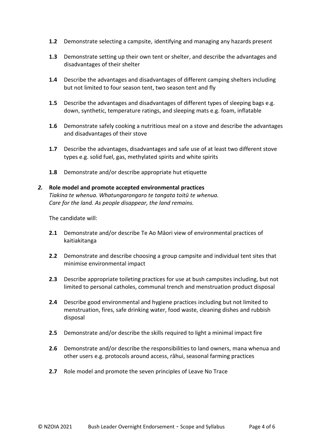- **1.2** Demonstrate selecting a campsite, identifying and managing any hazards present
- **1.3** Demonstrate setting up their own tent or shelter, and describe the advantages and disadvantages of their shelter
- **1.4** Describe the advantages and disadvantages of different camping shelters including but not limited to four season tent, two season tent and fly
- **1.5** Describe the advantages and disadvantages of different types of sleeping bags e.g. down, synthetic, temperature ratings, and sleeping mats e.g. foam, inflatable
- **1.6** Demonstrate safely cooking a nutritious meal on a stove and describe the advantages and disadvantages of their stove
- **1.7** Describe the advantages, disadvantages and safe use of at least two different stove types e.g. solid fuel, gas, methylated spirits and white spirits
- **1.8** Demonstrate and/or describe appropriate hut etiquette

#### *2.* **Role model and promote accepted environmental practices**

*Tiakina te whenua. Whatungarongaro te tangata toitū te whenua. Care for the land. As people disappear, the land remains.*

The candidate will:

- **2.1** Demonstrate and/or describe Te Ao Māori view of environmental practices of kaitiakitanga
- **2.2** Demonstrate and describe choosing a group campsite and individual tent sites that minimise environmental impact
- **2.3** Describe appropriate toileting practices for use at bush campsites including, but not limited to personal catholes, communal trench and menstruation product disposal
- **2.4** Describe good environmental and hygiene practices including but not limited to menstruation, fires, safe drinking water, food waste, cleaning dishes and rubbish disposal
- **2.5** Demonstrate and/or describe the skills required to light a minimal impact fire
- **2.6** Demonstrate and/or describe the responsibilities to land owners, mana whenua and other users e.g. protocols around access, rāhui, seasonal farming practices
- **2.7** Role model and promote the seven principles of Leave No Trace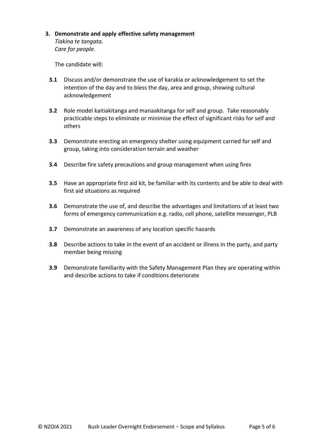#### **3. Demonstrate and apply effective safety management**

*Tiakina te tangata. Care for people.*

The candidate will:

- **3.1** Discuss and/or demonstrate the use of karakia or acknowledgement to set the intention of the day and to bless the day, area and group, showing cultural acknowledgement
- **3.2** Role model kaitiakitanga and manaakitanga for self and group. Take reasonably practicable steps to eliminate or minimise the effect of significant risks for self and others
- **3.3** Demonstrate erecting an emergency shelter using equipment carried for self and group, taking into consideration terrain and weather
- **3.4** Describe fire safety precautions and group management when using fires
- **3.5** Have an appropriate first aid kit, be familiar with its contents and be able to deal with first aid situations as required
- **3.6** Demonstrate the use of, and describe the advantages and limitations of at least two forms of emergency communication e.g. radio, cell phone, satellite messenger, PLB
- **3.7** Demonstrate an awareness of any location specific hazards
- **3.8** Describe actions to take in the event of an accident or illness in the party, and party member being missing
- **3.9** Demonstrate familiarity with the Safety Management Plan they are operating within and describe actions to take if conditions deteriorate